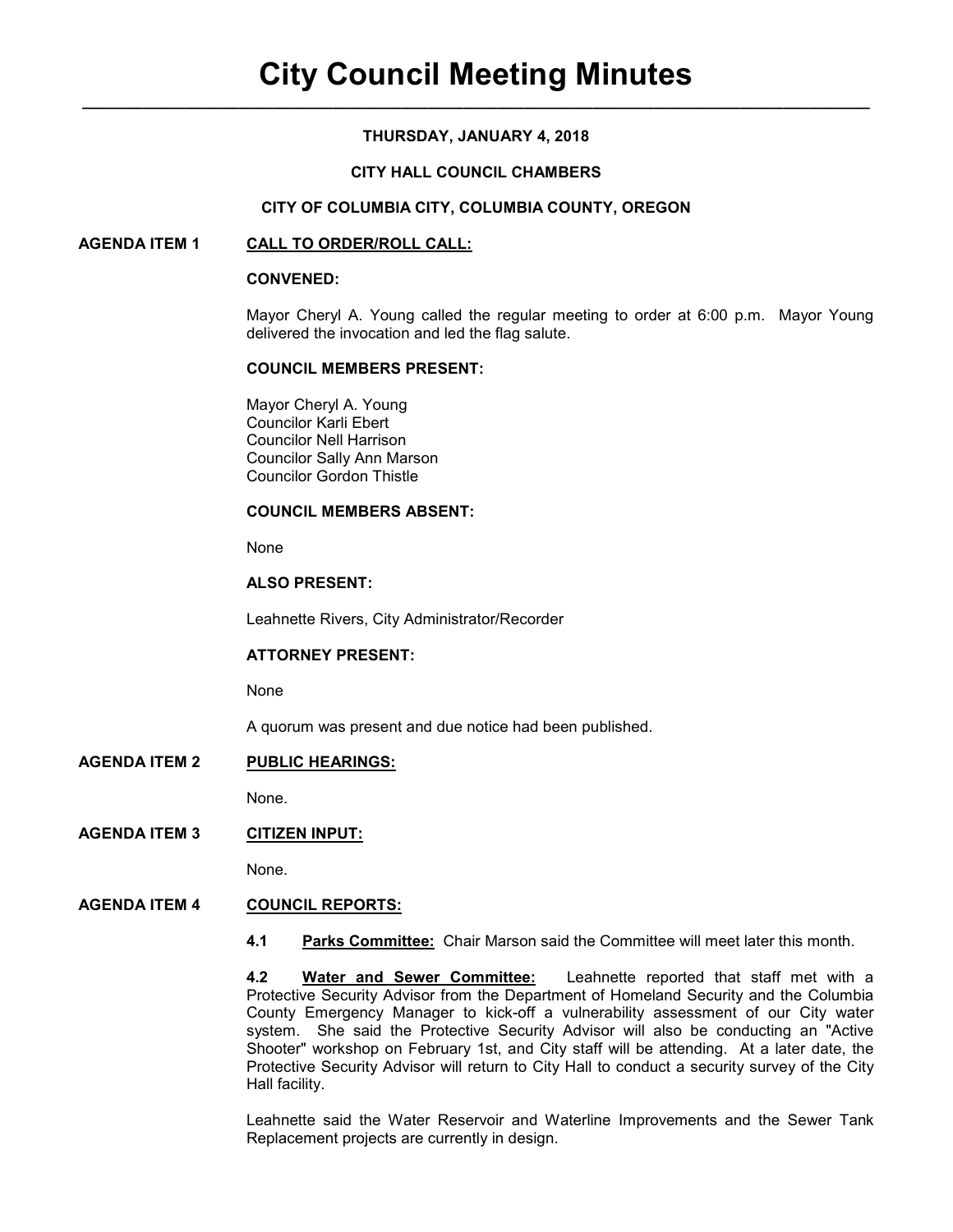# **THURSDAY, JANUARY 4, 2018**

## **CITY HALL COUNCIL CHAMBERS**

### **CITY OF COLUMBIA CITY, COLUMBIA COUNTY, OREGON**

### **AGENDA ITEM 1 CALL TO ORDER/ROLL CALL:**

#### **CONVENED:**

Mayor Cheryl A. Young called the regular meeting to order at 6:00 p.m. Mayor Young delivered the invocation and led the flag salute.

#### **COUNCIL MEMBERS PRESENT:**

 Mayor Cheryl A. Young Councilor Karli Ebert Councilor Nell Harrison Councilor Sally Ann Marson Councilor Gordon Thistle

#### **COUNCIL MEMBERS ABSENT:**

None

## **ALSO PRESENT:**

Leahnette Rivers, City Administrator/Recorder

### **ATTORNEY PRESENT:**

None

A quorum was present and due notice had been published.

# **AGENDA ITEM 2 PUBLIC HEARINGS:**

None.

### **AGENDA ITEM 3 CITIZEN INPUT:**

None.

## **AGENDA ITEM 4 COUNCIL REPORTS:**

**4.1 Parks Committee:** Chair Marson said the Committee will meet later this month.

**4.2 Water and Sewer Committee:** Leahnette reported that staff met with a Protective Security Advisor from the Department of Homeland Security and the Columbia County Emergency Manager to kick-off a vulnerability assessment of our City water system. She said the Protective Security Advisor will also be conducting an "Active Shooter" workshop on February 1st, and City staff will be attending. At a later date, the Protective Security Advisor will return to City Hall to conduct a security survey of the City Hall facility.

Leahnette said the Water Reservoir and Waterline Improvements and the Sewer Tank Replacement projects are currently in design.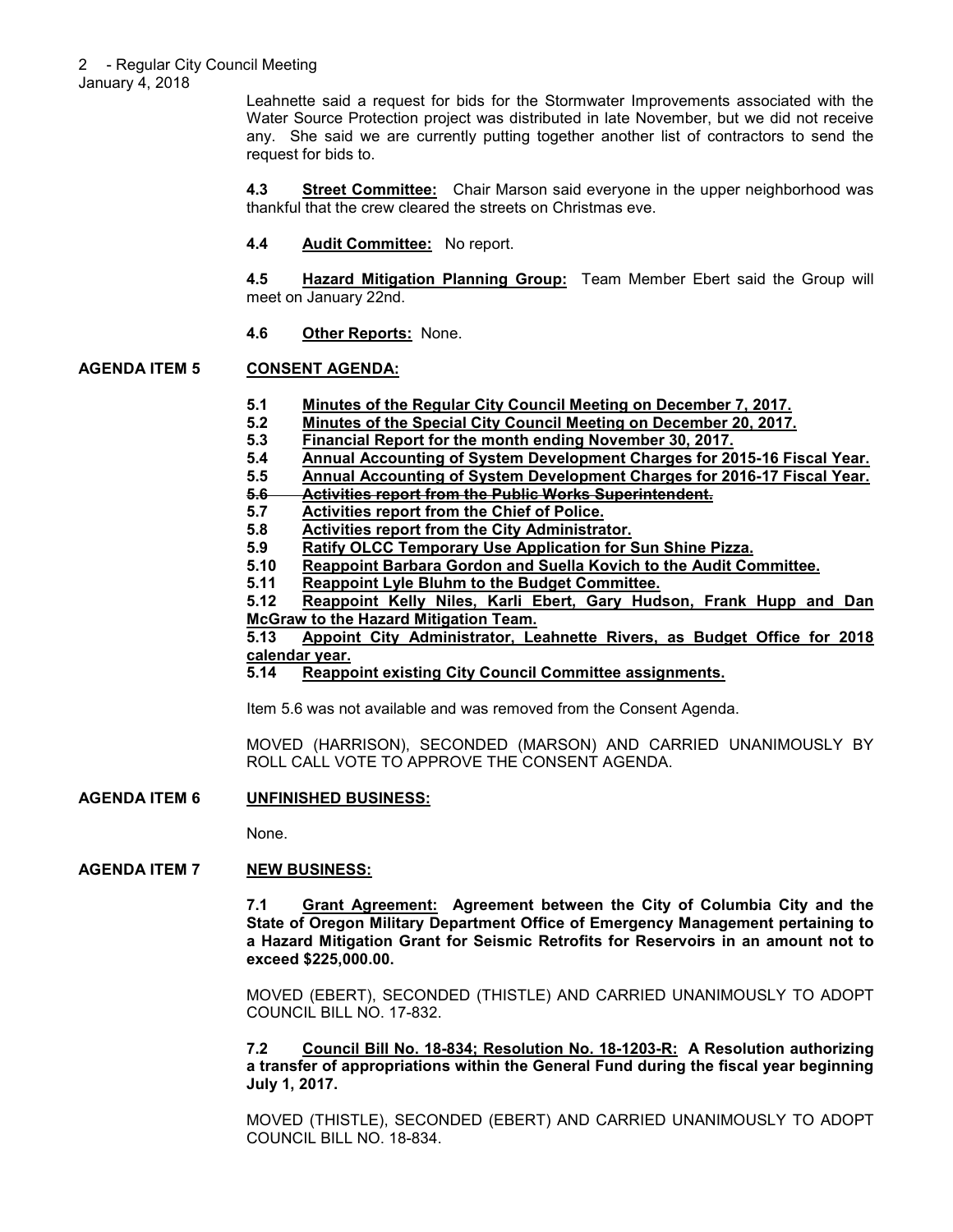Leahnette said a request for bids for the Stormwater Improvements associated with the Water Source Protection project was distributed in late November, but we did not receive any. She said we are currently putting together another list of contractors to send the request for bids to.

**4.3 Street Committee:** Chair Marson said everyone in the upper neighborhood was thankful that the crew cleared the streets on Christmas eve.

**4.4 Audit Committee:** No report.

**4.5 Hazard Mitigation Planning Group:** Team Member Ebert said the Group will meet on January 22nd.

**4.6 Other Reports:** None.

# **AGENDA ITEM 5 CONSENT AGENDA:**

- **5.1 Minutes of the Regular City Council Meeting on December 7, 2017.**
- **5.2 Minutes of the Special City Council Meeting on December 20, 2017.**
- **5.3 Financial Report for the month ending November 30, 2017.**
- **5.4 Annual Accounting of System Development Charges for 2015-16 Fiscal Year.**
- **5.5 Annual Accounting of System Development Charges for 2016-17 Fiscal Year.**
- **5.6 Activities report from the Public Works Superintendent.**
- **5.7 Activities report from the Chief of Police.**
- **5.8 Activities report from the City Administrator.**
- **5.9 Ratify OLCC Temporary Use Application for Sun Shine Pizza.**
	- **5.10 Reappoint Barbara Gordon and Suella Kovich to the Audit Committee.**
- **5.11 Reappoint Lyle Bluhm to the Budget Committee.**
- **5.12 Reappoint Kelly Niles, Karli Ebert, Gary Hudson, Frank Hupp and Dan McGraw to the Hazard Mitigation Team.**

**5.13 Appoint City Administrator, Leahnette Rivers, as Budget Office for 2018 calendar year.**

**5.14 Reappoint existing City Council Committee assignments.**

Item 5.6 was not available and was removed from the Consent Agenda.

MOVED (HARRISON), SECONDED (MARSON) AND CARRIED UNANIMOUSLY BY ROLL CALL VOTE TO APPROVE THE CONSENT AGENDA.

**AGENDA ITEM 6 UNFINISHED BUSINESS:**

None.

### **AGENDA ITEM 7 NEW BUSINESS:**

**7.1 Grant Agreement: Agreement between the City of Columbia City and the State of Oregon Military Department Office of Emergency Management pertaining to a Hazard Mitigation Grant for Seismic Retrofits for Reservoirs in an amount not to exceed \$225,000.00.** 

MOVED (EBERT), SECONDED (THISTLE) AND CARRIED UNANIMOUSLY TO ADOPT COUNCIL BILL NO. 17-832.

**7.2 Council Bill No. 18-834; Resolution No. 18-1203-R: A Resolution authorizing a transfer of appropriations within the General Fund during the fiscal year beginning July 1, 2017.** 

MOVED (THISTLE), SECONDED (EBERT) AND CARRIED UNANIMOUSLY TO ADOPT COUNCIL BILL NO. 18-834.